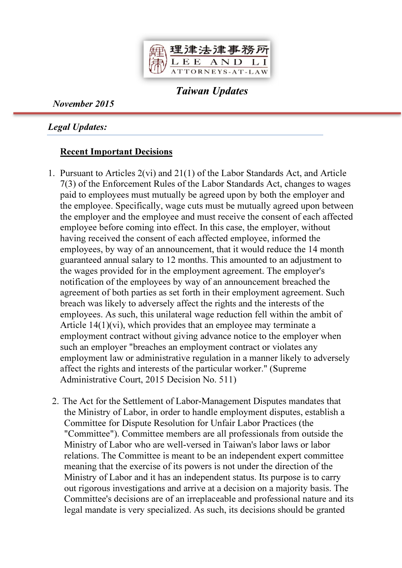

Taiwan Updates

November 2015

Legal Updates:

## Recent Important Decisions

- 1. Pursuant to Articles 2(vi) and 21(1) of the Labor Standards Act, and Article 7(3) of the Enforcement Rules of the Labor Standards Act, changes to wages paid to employees must mutually be agreed upon by both the employer and the employee. Specifically, wage cuts must be mutually agreed upon between the employer and the employee and must receive the consent of each affected employee before coming into effect. In this case, the employer, without having received the consent of each affected employee, informed the employees, by way of an announcement, that it would reduce the 14 month guaranteed annual salary to 12 months. This amounted to an adjustment to the wages provided for in the employment agreement. The employer's notification of the employees by way of an announcement breached the agreement of both parties as set forth in their employment agreement. Such breach was likely to adversely affect the rights and the interests of the employees. As such, this unilateral wage reduction fell within the ambit of Article 14(1)(vi), which provides that an employee may terminate a employment contract without giving advance notice to the employer when such an employer "breaches an employment contract or violates any employment law or administrative regulation in a manner likely to adversely affect the rights and interests of the particular worker." (Supreme Administrative Court, 2015 Decision No. 511)
- 2. The Act for the Settlement of Labor-Management Disputes mandates that the Ministry of Labor, in order to handle employment disputes, establish a Committee for Dispute Resolution for Unfair Labor Practices (the "Committee"). Committee members are all professionals from outside the Ministry of Labor who are well-versed in Taiwan's labor laws or labor relations. The Committee is meant to be an independent expert committee meaning that the exercise of its powers is not under the direction of the Ministry of Labor and it has an independent status. Its purpose is to carry out rigorous investigations and arrive at a decision on a majority basis. The Committee's decisions are of an irreplaceable and professional nature and its legal mandate is very specialized. As such, its decisions should be granted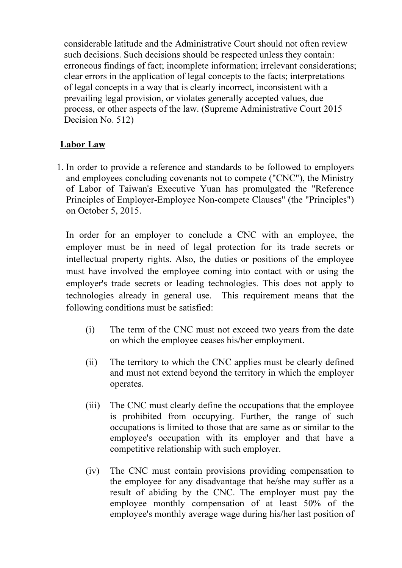considerable latitude and the Administrative Court should not often review such decisions. Such decisions should be respected unless they contain: erroneous findings of fact; incomplete information; irrelevant considerations; clear errors in the application of legal concepts to the facts; interpretations of legal concepts in a way that is clearly incorrect, inconsistent with a prevailing legal provision, or violates generally accepted values, due process, or other aspects of the law. (Supreme Administrative Court 2015 Decision No. 512)

# Labor Law

1. In order to provide a reference and standards to be followed to employers and employees concluding covenants not to compete ("CNC"), the Ministry of Labor of Taiwan's Executive Yuan has promulgated the "Reference Principles of Employer-Employee Non-compete Clauses" (the "Principles") on October 5, 2015.

In order for an employer to conclude a CNC with an employee, the employer must be in need of legal protection for its trade secrets or intellectual property rights. Also, the duties or positions of the employee must have involved the employee coming into contact with or using the employer's trade secrets or leading technologies. This does not apply to technologies already in general use. This requirement means that the following conditions must be satisfied:

- (i) The term of the CNC must not exceed two years from the date on which the employee ceases his/her employment.
- (ii) The territory to which the CNC applies must be clearly defined and must not extend beyond the territory in which the employer operates.
- (iii) The CNC must clearly define the occupations that the employee is prohibited from occupying. Further, the range of such occupations is limited to those that are same as or similar to the employee's occupation with its employer and that have a competitive relationship with such employer.
- (iv) The CNC must contain provisions providing compensation to the employee for any disadvantage that he/she may suffer as a result of abiding by the CNC. The employer must pay the employee monthly compensation of at least 50% of the employee's monthly average wage during his/her last position of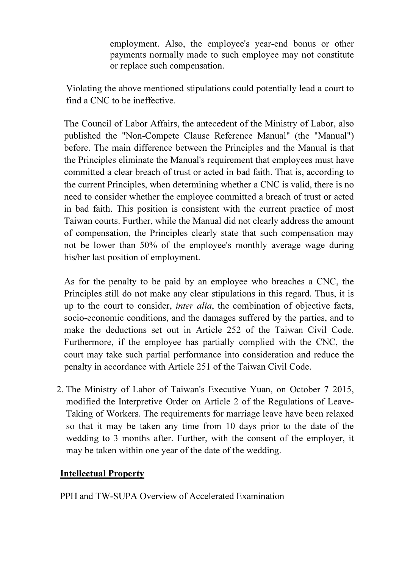employment. Also, the employee's year-end bonus or other payments normally made to such employee may not constitute or replace such compensation.

Violating the above mentioned stipulations could potentially lead a court to find a CNC to be ineffective.

The Council of Labor Affairs, the antecedent of the Ministry of Labor, also published the "Non-Compete Clause Reference Manual" (the "Manual") before. The main difference between the Principles and the Manual is that the Principles eliminate the Manual's requirement that employees must have committed a clear breach of trust or acted in bad faith. That is, according to the current Principles, when determining whether a CNC is valid, there is no need to consider whether the employee committed a breach of trust or acted in bad faith. This position is consistent with the current practice of most Taiwan courts. Further, while the Manual did not clearly address the amount of compensation, the Principles clearly state that such compensation may not be lower than 50% of the employee's monthly average wage during his/her last position of employment.

As for the penalty to be paid by an employee who breaches a CNC, the Principles still do not make any clear stipulations in this regard. Thus, it is up to the court to consider, inter alia, the combination of objective facts, socio-economic conditions, and the damages suffered by the parties, and to make the deductions set out in Article 252 of the Taiwan Civil Code. Furthermore, if the employee has partially complied with the CNC, the court may take such partial performance into consideration and reduce the penalty in accordance with Article 251 of the Taiwan Civil Code.

2. The Ministry of Labor of Taiwan's Executive Yuan, on October 7 2015, modified the Interpretive Order on Article 2 of the Regulations of Leave-Taking of Workers. The requirements for marriage leave have been relaxed so that it may be taken any time from 10 days prior to the date of the wedding to 3 months after. Further, with the consent of the employer, it may be taken within one year of the date of the wedding.

## Intellectual Property

PPH and TW-SUPA Overview of Accelerated Examination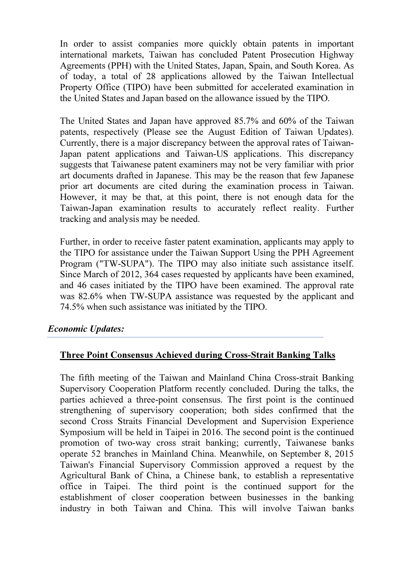In order to assist companies more quickly obtain patents in important international markets, Taiwan has concluded Patent Prosecution Highway Agreements (PPH) with the United States, Japan, Spain, and South Korea. As of today, a total of 28 applications allowed by the Taiwan Intellectual Property Office (TIPO) have been submitted for accelerated examination in the United States and Japan based on the allowance issued by the TIPO.

The United States and Japan have approved 85.7% and 60% of the Taiwan patents, respectively (Please see the August Edition of Taiwan Updates). Currently, there is a major discrepancy between the approval rates of Taiwan-Japan patent applications and Taiwan-US applications. This discrepancy suggests that Taiwanese patent examiners may not be very familiar with prior art documents drafted in Japanese. This may be the reason that few Japanese prior art documents are cited during the examination process in Taiwan. However, it may be that, at this point, there is not enough data for the Taiwan-Japan examination results to accurately reflect reality. Further tracking and analysis may be needed.

Further, in order to receive faster patent examination, applicants may apply to the TIPO for assistance under the Taiwan Support Using the PPH Agreement Program ("TW-SUPA"). The TIPO may also initiate such assistance itself. Since March of 2012, 364 cases requested by applicants have been examined, and 46 cases initiated by the TIPO have been examined. The approval rate was 82.6% when TW-SUPA assistance was requested by the applicant and 74.5% when such assistance was initiated by the TIPO.

#### Economic Updates:

#### Three Point Consensus Achieved during Cross-Strait Banking Talks

The fifth meeting of the Taiwan and Mainland China Cross-strait Banking Supervisory Cooperation Platform recently concluded. During the talks, the parties achieved a three-point consensus. The first point is the continued strengthening of supervisory cooperation; both sides confirmed that the second Cross Straits Financial Development and Supervision Experience Symposium will be held in Taipei in 2016. The second point is the continued promotion of two-way cross strait banking; currently, Taiwanese banks operate 52 branches in Mainland China. Meanwhile, on September 8, 2015 Taiwan's Financial Supervisory Commission approved a request by the Agricultural Bank of China, a Chinese bank, to establish a representative office in Taipei. The third point is the continued support for the establishment of closer cooperation between businesses in the banking industry in both Taiwan and China. This will involve Taiwan banks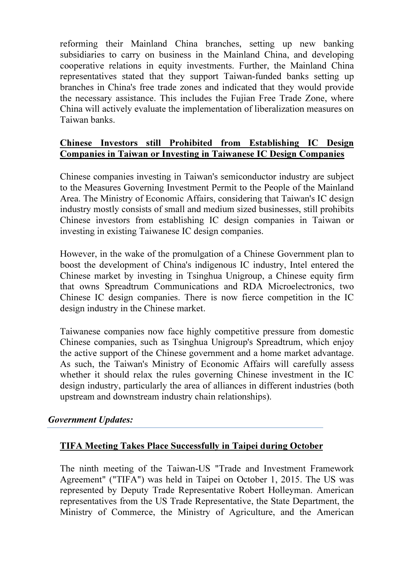reforming their Mainland China branches, setting up new banking subsidiaries to carry on business in the Mainland China, and developing cooperative relations in equity investments. Further, the Mainland China representatives stated that they support Taiwan-funded banks setting up branches in China's free trade zones and indicated that they would provide the necessary assistance. This includes the Fujian Free Trade Zone, where China will actively evaluate the implementation of liberalization measures on Taiwan banks.

### Chinese Investors still Prohibited from Establishing IC Design Companies in Taiwan or Investing in Taiwanese IC Design Companies

Chinese companies investing in Taiwan's semiconductor industry are subject to the Measures Governing Investment Permit to the People of the Mainland Area. The Ministry of Economic Affairs, considering that Taiwan's IC design industry mostly consists of small and medium sized businesses, still prohibits Chinese investors from establishing IC design companies in Taiwan or investing in existing Taiwanese IC design companies.

However, in the wake of the promulgation of a Chinese Government plan to boost the development of China's indigenous IC industry, Intel entered the Chinese market by investing in Tsinghua Unigroup, a Chinese equity firm that owns Spreadtrum Communications and RDA Microelectronics, two Chinese IC design companies. There is now fierce competition in the IC design industry in the Chinese market.

Taiwanese companies now face highly competitive pressure from domestic Chinese companies, such as Tsinghua Unigroup's Spreadtrum, which enjoy the active support of the Chinese government and a home market advantage. As such, the Taiwan's Ministry of Economic Affairs will carefully assess whether it should relax the rules governing Chinese investment in the IC design industry, particularly the area of alliances in different industries (both upstream and downstream industry chain relationships).

#### Government Updates:

## TIFA Meeting Takes Place Successfully in Taipei during October

The ninth meeting of the Taiwan-US "Trade and Investment Framework Agreement" ("TIFA") was held in Taipei on October 1, 2015. The US was represented by Deputy Trade Representative Robert Holleyman. American representatives from the US Trade Representative, the State Department, the Ministry of Commerce, the Ministry of Agriculture, and the American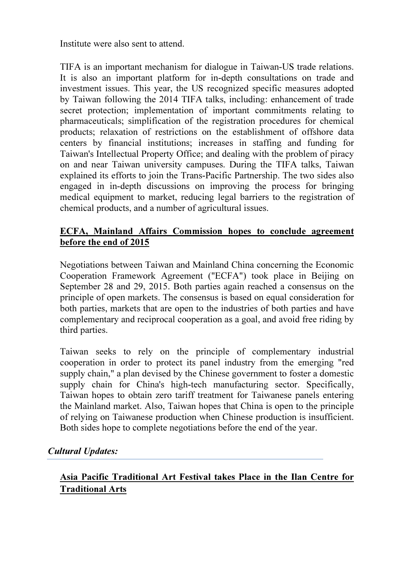Institute were also sent to attend.

TIFA is an important mechanism for dialogue in Taiwan-US trade relations. It is also an important platform for in-depth consultations on trade and investment issues. This year, the US recognized specific measures adopted by Taiwan following the 2014 TIFA talks, including: enhancement of trade secret protection; implementation of important commitments relating to pharmaceuticals; simplification of the registration procedures for chemical products; relaxation of restrictions on the establishment of offshore data centers by financial institutions; increases in staffing and funding for Taiwan's Intellectual Property Office; and dealing with the problem of piracy on and near Taiwan university campuses. During the TIFA talks, Taiwan explained its efforts to join the Trans-Pacific Partnership. The two sides also engaged in in-depth discussions on improving the process for bringing medical equipment to market, reducing legal barriers to the registration of chemical products, and a number of agricultural issues.

## ECFA, Mainland Affairs Commission hopes to conclude agreement before the end of 2015

Negotiations between Taiwan and Mainland China concerning the Economic Cooperation Framework Agreement ("ECFA") took place in Beijing on September 28 and 29, 2015. Both parties again reached a consensus on the principle of open markets. The consensus is based on equal consideration for both parties, markets that are open to the industries of both parties and have complementary and reciprocal cooperation as a goal, and avoid free riding by third parties.

Taiwan seeks to rely on the principle of complementary industrial cooperation in order to protect its panel industry from the emerging "red supply chain," a plan devised by the Chinese government to foster a domestic supply chain for China's high-tech manufacturing sector. Specifically, Taiwan hopes to obtain zero tariff treatment for Taiwanese panels entering the Mainland market. Also, Taiwan hopes that China is open to the principle of relying on Taiwanese production when Chinese production is insufficient. Both sides hope to complete negotiations before the end of the year.

## Cultural Updates:

# Asia Pacific Traditional Art Festival takes Place in the Ilan Centre for Traditional Arts